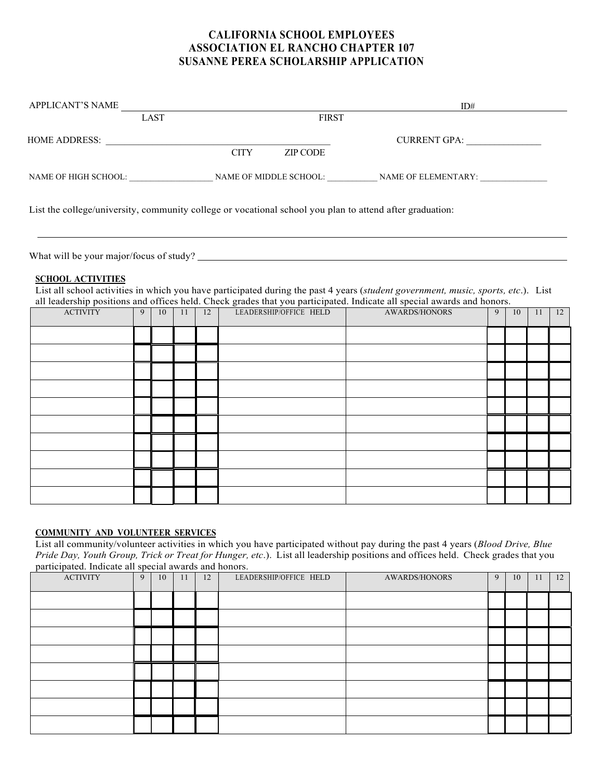## **CALIFORNIA SCHOOL EMPLOYEES ASSOCIATION EL RANCHO CHAPTER 107 SUSANNE PEREA SCHOLARSHIP APPLICATION**

| APPLICANT'S NAME     |      |             |              | ID#                                                                                                      |
|----------------------|------|-------------|--------------|----------------------------------------------------------------------------------------------------------|
|                      | LAST |             | <b>FIRST</b> |                                                                                                          |
| HOME ADDRESS:        |      |             |              | CURRENT GPA:                                                                                             |
|                      |      | <b>CITY</b> | ZIP CODE     |                                                                                                          |
| NAME OF HIGH SCHOOL: |      |             |              | NAME OF MIDDLE SCHOOL: NAME OF ELEMENTARY:                                                               |
|                      |      |             |              | List the college/university, community college or vocational school you plan to attend after graduation: |

What will be your major/focus of study?

## **SCHOOL ACTIVITIES**

List all school activities in which you have participated during the past 4 years (*student government, music, sports, etc*.). List all leadership positions and offices held. Check grades that you participated. Indicate all special awards and honors.

| <b>ACTIVITY</b> | 9 | 10 | 11 | 12 | LEADERSHIP/OFFICE HELD | AWARDS/HONORS | $\overline{9}$ | 10 | 11 | 12 |
|-----------------|---|----|----|----|------------------------|---------------|----------------|----|----|----|
|                 |   |    |    |    |                        |               |                |    |    |    |
|                 |   |    |    |    |                        |               |                |    |    |    |
|                 |   |    |    |    |                        |               |                |    |    |    |
|                 |   |    |    |    |                        |               |                |    |    |    |
|                 |   |    |    |    |                        |               |                |    |    |    |
|                 |   |    |    |    |                        |               |                |    |    |    |
|                 |   |    |    |    |                        |               |                |    |    |    |
|                 |   |    |    |    |                        |               |                |    |    |    |
|                 |   |    |    |    |                        |               |                |    |    |    |
|                 |   |    |    |    |                        |               |                |    |    |    |

## **COMMUNITY AND VOLUNTEER SERVICES**

List all community/volunteer activities in which you have participated without pay during the past 4 years (*Blood Drive, Blue Pride Day, Youth Group, Trick or Treat for Hunger, etc*.). List all leadership positions and offices held. Check grades that you participated. Indicate all special awards and honors.

| $\overline{ }$<br>$\overline{\phantom{a}}$<br><b>ACTIVITY</b> | $\overline{\phantom{a}}$<br>9 | 10 | 11 | 12 | LEADERSHIP/OFFICE HELD | <b>AWARDS/HONORS</b> | 9 | 10 | 11 | 12 |
|---------------------------------------------------------------|-------------------------------|----|----|----|------------------------|----------------------|---|----|----|----|
|                                                               |                               |    |    |    |                        |                      |   |    |    |    |
|                                                               |                               |    |    |    |                        |                      |   |    |    |    |
|                                                               |                               |    |    |    |                        |                      |   |    |    |    |
|                                                               |                               |    |    |    |                        |                      |   |    |    |    |
|                                                               |                               |    |    |    |                        |                      |   |    |    |    |
|                                                               |                               |    |    |    |                        |                      |   |    |    |    |
|                                                               |                               |    |    |    |                        |                      |   |    |    |    |
|                                                               |                               |    |    |    |                        |                      |   |    |    |    |